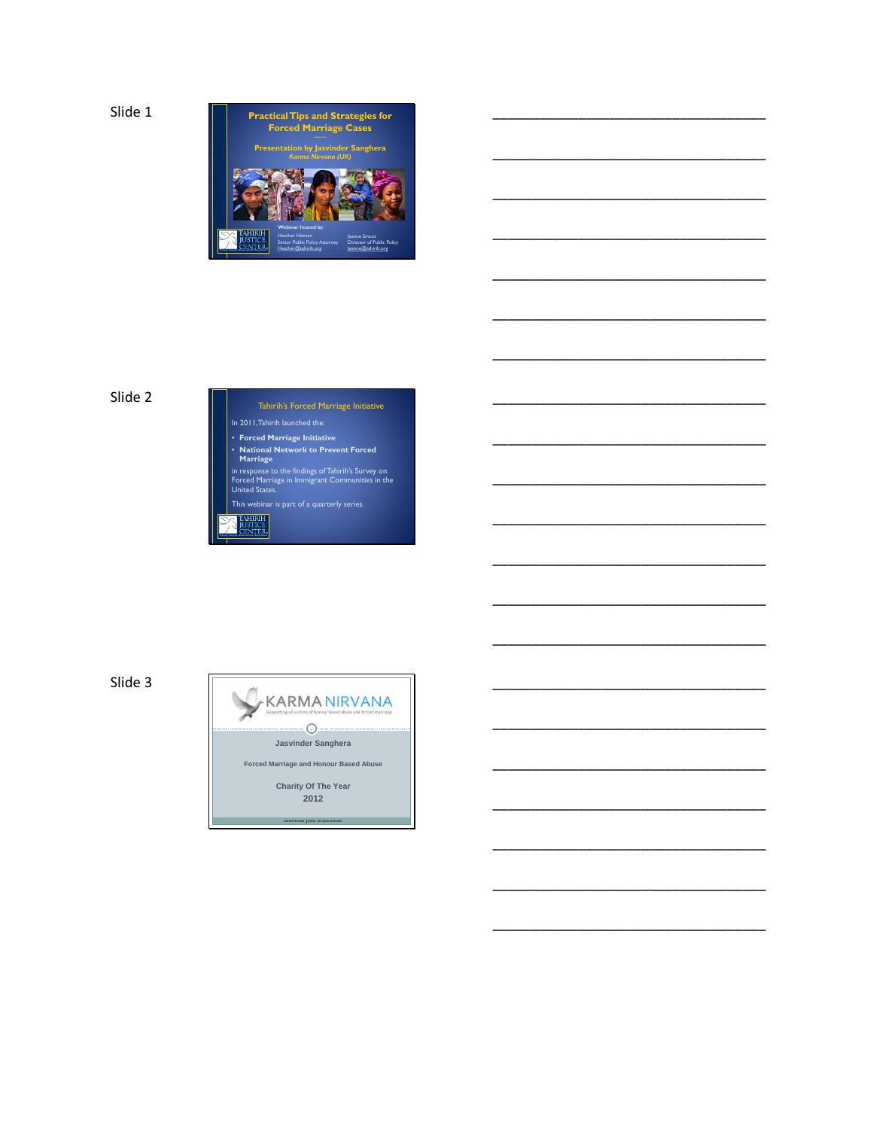

\_\_\_\_\_\_\_\_\_\_\_\_\_\_\_\_\_\_\_\_\_\_\_\_\_\_\_\_\_\_\_\_\_\_\_

\_\_\_\_\_\_\_\_\_\_\_\_\_\_\_\_\_\_\_\_\_\_\_\_\_\_\_\_\_\_\_\_\_\_\_

\_\_\_\_\_\_\_\_\_\_\_\_\_\_\_\_\_\_\_\_\_\_\_\_\_\_\_\_\_\_\_\_\_\_\_

\_\_\_\_\_\_\_\_\_\_\_\_\_\_\_\_\_\_\_\_\_\_\_\_\_\_\_\_\_\_\_\_\_\_\_

\_\_\_\_\_\_\_\_\_\_\_\_\_\_\_\_\_\_\_\_\_\_\_\_\_\_\_\_\_\_\_\_\_\_\_

\_\_\_\_\_\_\_\_\_\_\_\_\_\_\_\_\_\_\_\_\_\_\_\_\_\_\_\_\_\_\_\_\_\_\_

\_\_\_\_\_\_\_\_\_\_\_\_\_\_\_\_\_\_\_\_\_\_\_\_\_\_\_\_\_\_\_\_\_\_\_

\_\_\_\_\_\_\_\_\_\_\_\_\_\_\_\_\_\_\_\_\_\_\_\_\_\_\_\_\_\_\_\_\_\_\_

\_\_\_\_\_\_\_\_\_\_\_\_\_\_\_\_\_\_\_\_\_\_\_\_\_\_\_\_\_\_\_\_\_\_\_

\_\_\_\_\_\_\_\_\_\_\_\_\_\_\_\_\_\_\_\_\_\_\_\_\_\_\_\_\_\_\_\_\_\_\_

\_\_\_\_\_\_\_\_\_\_\_\_\_\_\_\_\_\_\_\_\_\_\_\_\_\_\_\_\_\_\_\_\_\_\_

\_\_\_\_\_\_\_\_\_\_\_\_\_\_\_\_\_\_\_\_\_\_\_\_\_\_\_\_\_\_\_\_\_\_\_

\_\_\_\_\_\_\_\_\_\_\_\_\_\_\_\_\_\_\_\_\_\_\_\_\_\_\_\_\_\_\_\_\_\_\_

\_\_\_\_\_\_\_\_\_\_\_\_\_\_\_\_\_\_\_\_\_\_\_\_\_\_\_\_\_\_\_\_\_\_\_

\_\_\_\_\_\_\_\_\_\_\_\_\_\_\_\_\_\_\_\_\_\_\_\_\_\_\_\_\_\_\_\_\_\_\_

\_\_\_\_\_\_\_\_\_\_\_\_\_\_\_\_\_\_\_\_\_\_\_\_\_\_\_\_\_\_\_\_\_\_\_

\_\_\_\_\_\_\_\_\_\_\_\_\_\_\_\_\_\_\_\_\_\_\_\_\_\_\_\_\_\_\_\_\_\_\_

\_\_\_\_\_\_\_\_\_\_\_\_\_\_\_\_\_\_\_\_\_\_\_\_\_\_\_\_\_\_\_\_\_\_\_

\_\_\_\_\_\_\_\_\_\_\_\_\_\_\_\_\_\_\_\_\_\_\_\_\_\_\_\_\_\_\_\_\_\_\_

\_\_\_\_\_\_\_\_\_\_\_\_\_\_\_\_\_\_\_\_\_\_\_\_\_\_\_\_\_\_\_\_\_\_\_

\_\_\_\_\_\_\_\_\_\_\_\_\_\_\_\_\_\_\_\_\_\_\_\_\_\_\_\_\_\_\_\_\_\_\_

### Slide 2



Slide 3

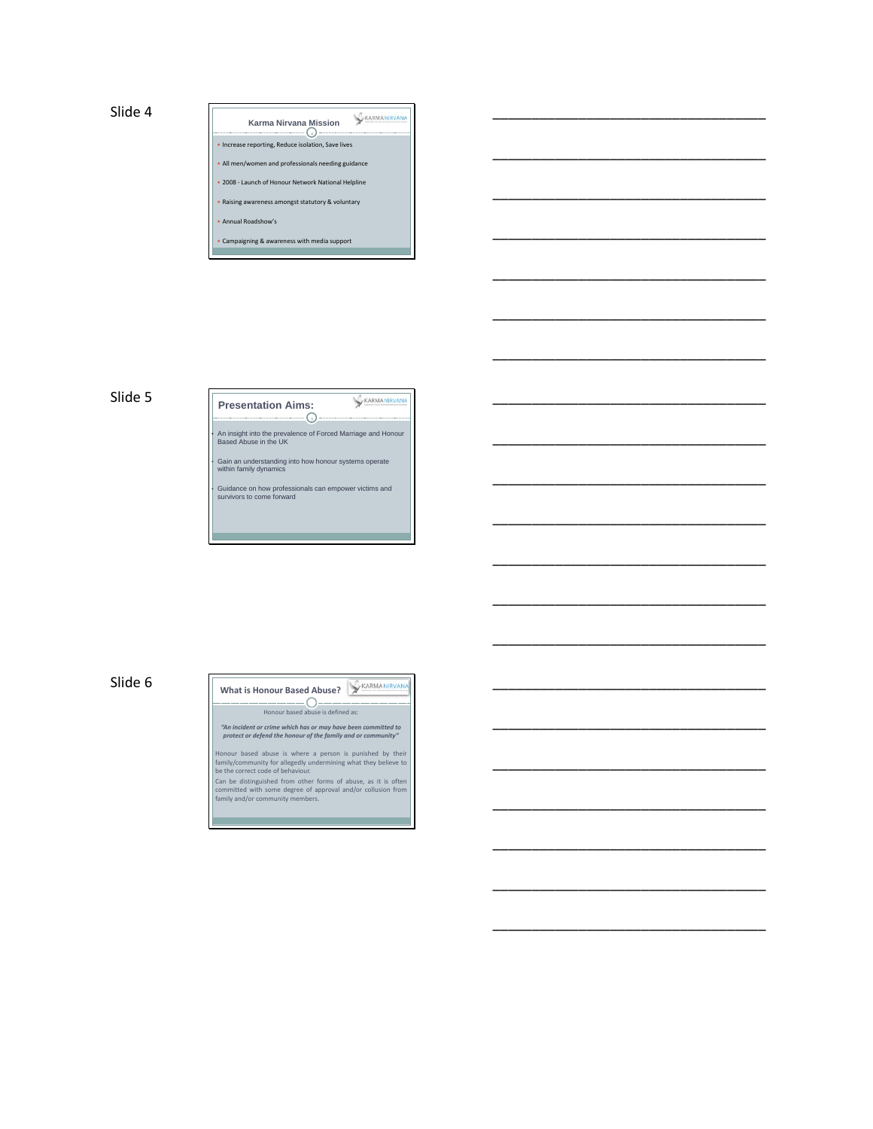

\_\_\_\_\_\_\_\_\_\_\_\_\_\_\_\_\_\_\_\_\_\_\_\_\_\_\_\_\_\_\_\_\_\_\_

\_\_\_\_\_\_\_\_\_\_\_\_\_\_\_\_\_\_\_\_\_\_\_\_\_\_\_\_\_\_\_\_\_\_\_

\_\_\_\_\_\_\_\_\_\_\_\_\_\_\_\_\_\_\_\_\_\_\_\_\_\_\_\_\_\_\_\_\_\_\_

\_\_\_\_\_\_\_\_\_\_\_\_\_\_\_\_\_\_\_\_\_\_\_\_\_\_\_\_\_\_\_\_\_\_\_

\_\_\_\_\_\_\_\_\_\_\_\_\_\_\_\_\_\_\_\_\_\_\_\_\_\_\_\_\_\_\_\_\_\_\_

\_\_\_\_\_\_\_\_\_\_\_\_\_\_\_\_\_\_\_\_\_\_\_\_\_\_\_\_\_\_\_\_\_\_\_

\_\_\_\_\_\_\_\_\_\_\_\_\_\_\_\_\_\_\_\_\_\_\_\_\_\_\_\_\_\_\_\_\_\_\_

\_\_\_\_\_\_\_\_\_\_\_\_\_\_\_\_\_\_\_\_\_\_\_\_\_\_\_\_\_\_\_\_\_\_\_

\_\_\_\_\_\_\_\_\_\_\_\_\_\_\_\_\_\_\_\_\_\_\_\_\_\_\_\_\_\_\_\_\_\_\_

\_\_\_\_\_\_\_\_\_\_\_\_\_\_\_\_\_\_\_\_\_\_\_\_\_\_\_\_\_\_\_\_\_\_\_

\_\_\_\_\_\_\_\_\_\_\_\_\_\_\_\_\_\_\_\_\_\_\_\_\_\_\_\_\_\_\_\_\_\_\_

\_\_\_\_\_\_\_\_\_\_\_\_\_\_\_\_\_\_\_\_\_\_\_\_\_\_\_\_\_\_\_\_\_\_\_

\_\_\_\_\_\_\_\_\_\_\_\_\_\_\_\_\_\_\_\_\_\_\_\_\_\_\_\_\_\_\_\_\_\_\_

\_\_\_\_\_\_\_\_\_\_\_\_\_\_\_\_\_\_\_\_\_\_\_\_\_\_\_\_\_\_\_\_\_\_\_

\_\_\_\_\_\_\_\_\_\_\_\_\_\_\_\_\_\_\_\_\_\_\_\_\_\_\_\_\_\_\_\_\_\_\_

\_\_\_\_\_\_\_\_\_\_\_\_\_\_\_\_\_\_\_\_\_\_\_\_\_\_\_\_\_\_\_\_\_\_\_

\_\_\_\_\_\_\_\_\_\_\_\_\_\_\_\_\_\_\_\_\_\_\_\_\_\_\_\_\_\_\_\_\_\_\_

\_\_\_\_\_\_\_\_\_\_\_\_\_\_\_\_\_\_\_\_\_\_\_\_\_\_\_\_\_\_\_\_\_\_\_

\_\_\_\_\_\_\_\_\_\_\_\_\_\_\_\_\_\_\_\_\_\_\_\_\_\_\_\_\_\_\_\_\_\_\_

\_\_\_\_\_\_\_\_\_\_\_\_\_\_\_\_\_\_\_\_\_\_\_\_\_\_\_\_\_\_\_\_\_\_\_

\_\_\_\_\_\_\_\_\_\_\_\_\_\_\_\_\_\_\_\_\_\_\_\_\_\_\_\_\_\_\_\_\_\_\_

#### Slide 5

KARMANIRVANA **Presentation Aims:**  $-\bigcirc$ • An insight into the prevalence of Forced Marriage and Honour Based Abuse in the UK • Gain an understanding into how honour systems operate within family dynamics

• Guidance on how professionals can empower victims and survivors to come forward

<u> 1989 - Johann Barnett, mars eta idazlea (h. 1989).</u>

## Slide 6

#### What is Honour Based Abuse? **XARMANIRVANA**  $-$ O-

Honour based abuse is defined as:

*"An incident or crime which has or may have been committed to protect or defend the honour of the family and or community"*

Honour based abuse is where a person is punished by their<br>family/community for allegedly undermining what they believe to<br>be the correct code of behaviour.<br>Can be distinguished from other forms of abuse, as it is often<br>com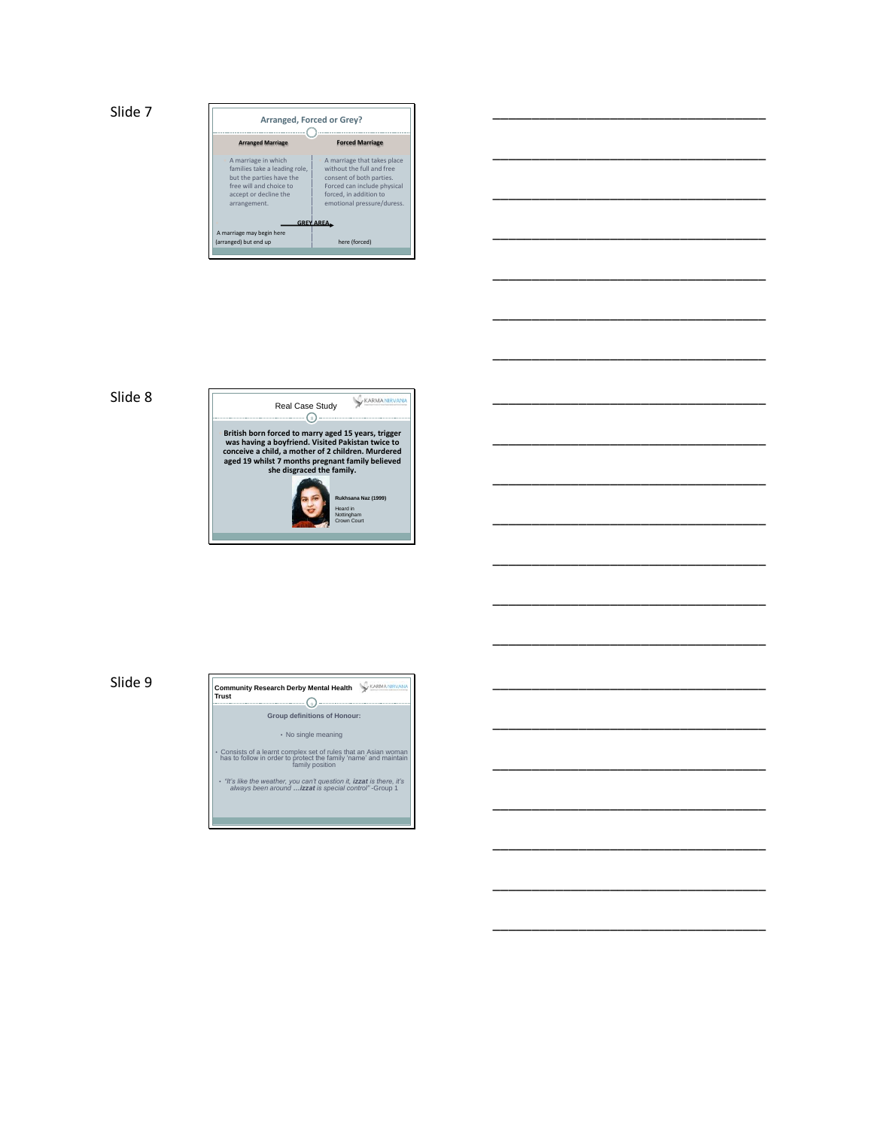

| _________   |  |  |  |  |  |  |
|-------------|--|--|--|--|--|--|
|             |  |  |  |  |  |  |
|             |  |  |  |  |  |  |
| ___________ |  |  |  |  |  |  |

\_\_\_\_\_\_\_\_\_\_\_\_\_\_\_\_\_\_\_\_\_\_\_\_\_\_\_\_\_\_\_\_\_\_\_

\_\_\_\_\_\_\_\_\_\_\_\_\_\_\_\_\_\_\_\_\_\_\_\_\_\_\_\_\_\_\_\_\_\_\_

\_\_\_\_\_\_\_\_\_\_\_\_\_\_\_\_\_\_\_\_\_\_\_\_\_\_\_\_\_\_\_\_\_\_\_

\_\_\_\_\_\_\_\_\_\_\_\_\_\_\_\_\_\_\_\_\_\_\_\_\_\_\_\_\_\_\_\_\_\_\_

\_\_\_\_\_\_\_\_\_\_\_\_\_\_\_\_\_\_\_\_\_\_\_\_\_\_\_\_\_\_\_\_\_\_\_

\_\_\_\_\_\_\_\_\_\_\_\_\_\_\_\_\_\_\_\_\_\_\_\_\_\_\_\_\_\_\_\_\_\_\_

\_\_\_\_\_\_\_\_\_\_\_\_\_\_\_\_\_\_\_\_\_\_\_\_\_\_\_\_\_\_\_\_\_\_\_

\_\_\_\_\_\_\_\_\_\_\_\_\_\_\_\_\_\_\_\_\_\_\_\_\_\_\_\_\_\_\_\_\_\_\_

\_\_\_\_\_\_\_\_\_\_\_\_\_\_\_\_\_\_\_\_\_\_\_\_\_\_\_\_\_\_\_\_\_\_\_

\_\_\_\_\_\_\_\_\_\_\_\_\_\_\_\_\_\_\_\_\_\_\_\_\_\_\_\_\_\_\_\_\_\_\_

\_\_\_\_\_\_\_\_\_\_\_\_\_\_\_\_\_\_\_\_\_\_\_\_\_\_\_\_\_\_\_\_\_\_\_

\_\_\_\_\_\_\_\_\_\_\_\_\_\_\_\_\_\_\_\_\_\_\_\_\_\_\_\_\_\_\_\_\_\_\_

\_\_\_\_\_\_\_\_\_\_\_\_\_\_\_\_\_\_\_\_\_\_\_\_\_\_\_\_\_\_\_\_\_\_\_

\_\_\_\_\_\_\_\_\_\_\_\_\_\_\_\_\_\_\_\_\_\_\_\_\_\_\_\_\_\_\_\_\_\_\_

\_\_\_\_\_\_\_\_\_\_\_\_\_\_\_\_\_\_\_\_\_\_\_\_\_\_\_\_\_\_\_\_\_\_\_

\_\_\_\_\_\_\_\_\_\_\_\_\_\_\_\_\_\_\_\_\_\_\_\_\_\_\_\_\_\_\_\_\_\_\_

\_\_\_\_\_\_\_\_\_\_\_\_\_\_\_\_\_\_\_\_\_\_\_\_\_\_\_\_\_\_\_\_\_\_\_

#### Slide 8



Slide 9

 $\overline{\phantom{a}}$  **Group definitions of Honour: Community Research Derby Mental Health Trust** 

• No single meaning

• Consists of a learnt complex set of rules that an Asian woman has to follow in order to protect the family 'name' and maintain family position

• *"It's like the weather, you can't question it, izzat is there, it's always been around …izzat is special control"* -Group 1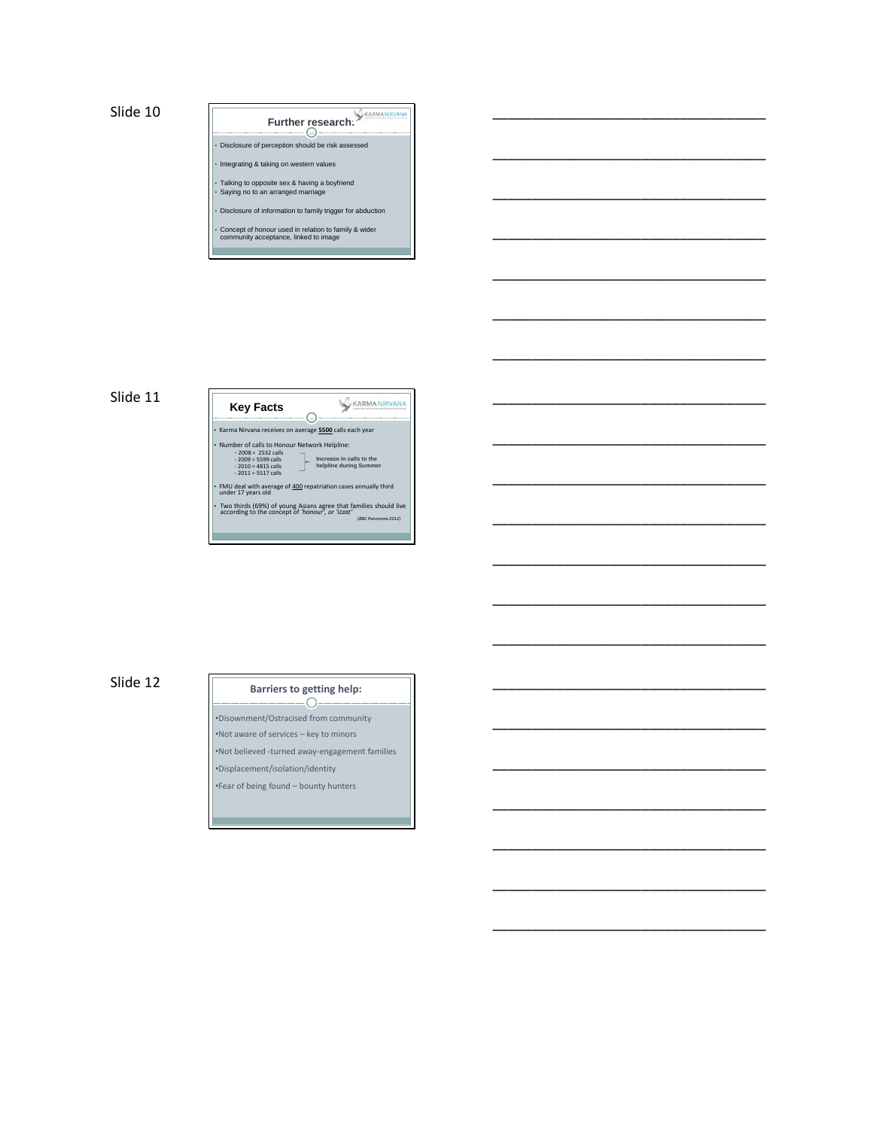**Further research:** 

\_\_\_\_\_\_\_\_\_\_\_\_\_\_\_\_\_\_\_\_\_\_\_\_\_\_\_\_\_\_\_\_\_\_\_

\_\_\_\_\_\_\_\_\_\_\_\_\_\_\_\_\_\_\_\_\_\_\_\_\_\_\_\_\_\_\_\_\_\_\_

\_\_\_\_\_\_\_\_\_\_\_\_\_\_\_\_\_\_\_\_\_\_\_\_\_\_\_\_\_\_\_\_\_\_\_

\_\_\_\_\_\_\_\_\_\_\_\_\_\_\_\_\_\_\_\_\_\_\_\_\_\_\_\_\_\_\_\_\_\_\_

\_\_\_\_\_\_\_\_\_\_\_\_\_\_\_\_\_\_\_\_\_\_\_\_\_\_\_\_\_\_\_\_\_\_\_

\_\_\_\_\_\_\_\_\_\_\_\_\_\_\_\_\_\_\_\_\_\_\_\_\_\_\_\_\_\_\_\_\_\_\_

\_\_\_\_\_\_\_\_\_\_\_\_\_\_\_\_\_\_\_\_\_\_\_\_\_\_\_\_\_\_\_\_\_\_\_

\_\_\_\_\_\_\_\_\_\_\_\_\_\_\_\_\_\_\_\_\_\_\_\_\_\_\_\_\_\_\_\_\_\_\_

\_\_\_\_\_\_\_\_\_\_\_\_\_\_\_\_\_\_\_\_\_\_\_\_\_\_\_\_\_\_\_\_\_\_\_

\_\_\_\_\_\_\_\_\_\_\_\_\_\_\_\_\_\_\_\_\_\_\_\_\_\_\_\_\_\_\_\_\_\_\_

\_\_\_\_\_\_\_\_\_\_\_\_\_\_\_\_\_\_\_\_\_\_\_\_\_\_\_\_\_\_\_\_\_\_\_

\_\_\_\_\_\_\_\_\_\_\_\_\_\_\_\_\_\_\_\_\_\_\_\_\_\_\_\_\_\_\_\_\_\_\_

\_\_\_\_\_\_\_\_\_\_\_\_\_\_\_\_\_\_\_\_\_\_\_\_\_\_\_\_\_\_\_\_\_\_\_

\_\_\_\_\_\_\_\_\_\_\_\_\_\_\_\_\_\_\_\_\_\_\_\_\_\_\_\_\_\_\_\_\_\_\_

\_\_\_\_\_\_\_\_\_\_\_\_\_\_\_\_\_\_\_\_\_\_\_\_\_\_\_\_\_\_\_\_\_\_\_

\_\_\_\_\_\_\_\_\_\_\_\_\_\_\_\_\_\_\_\_\_\_\_\_\_\_\_\_\_\_\_\_\_\_\_

\_\_\_\_\_\_\_\_\_\_\_\_\_\_\_\_\_\_\_\_\_\_\_\_\_\_\_\_\_\_\_\_\_\_\_

\_\_\_\_\_\_\_\_\_\_\_\_\_\_\_\_\_\_\_\_\_\_\_\_\_\_\_\_\_\_\_\_\_\_\_

\_\_\_\_\_\_\_\_\_\_\_\_\_\_\_\_\_\_\_\_\_\_\_\_\_\_\_\_\_\_\_\_\_\_\_

\_\_\_\_\_\_\_\_\_\_\_\_\_\_\_\_\_\_\_\_\_\_\_\_\_\_\_\_\_\_\_\_\_\_\_

\_\_\_\_\_\_\_\_\_\_\_\_\_\_\_\_\_\_\_\_\_\_\_\_\_\_\_\_\_\_\_\_\_\_\_

• Disclosure of perception should be risk assessed

• Integrating & taking on western values

• Talking to opposite sex & having a boyfriend • Saying no to an arranged marriage

• Disclosure of information to family trigger for abduction

• Concept of honour used in relation to family & wider community acceptance, linked to image \_\_\_\_\_\_\_

#### Slide 11



#### Slide 12

#### **Barriers to getting help:**  $\bigcap$

•Disownment/Ostracised from community

•Not aware of services – key to minors

•Not believed -turned away-engagement families

•Displacement/isolation/identity •Fear of being found – bounty hunters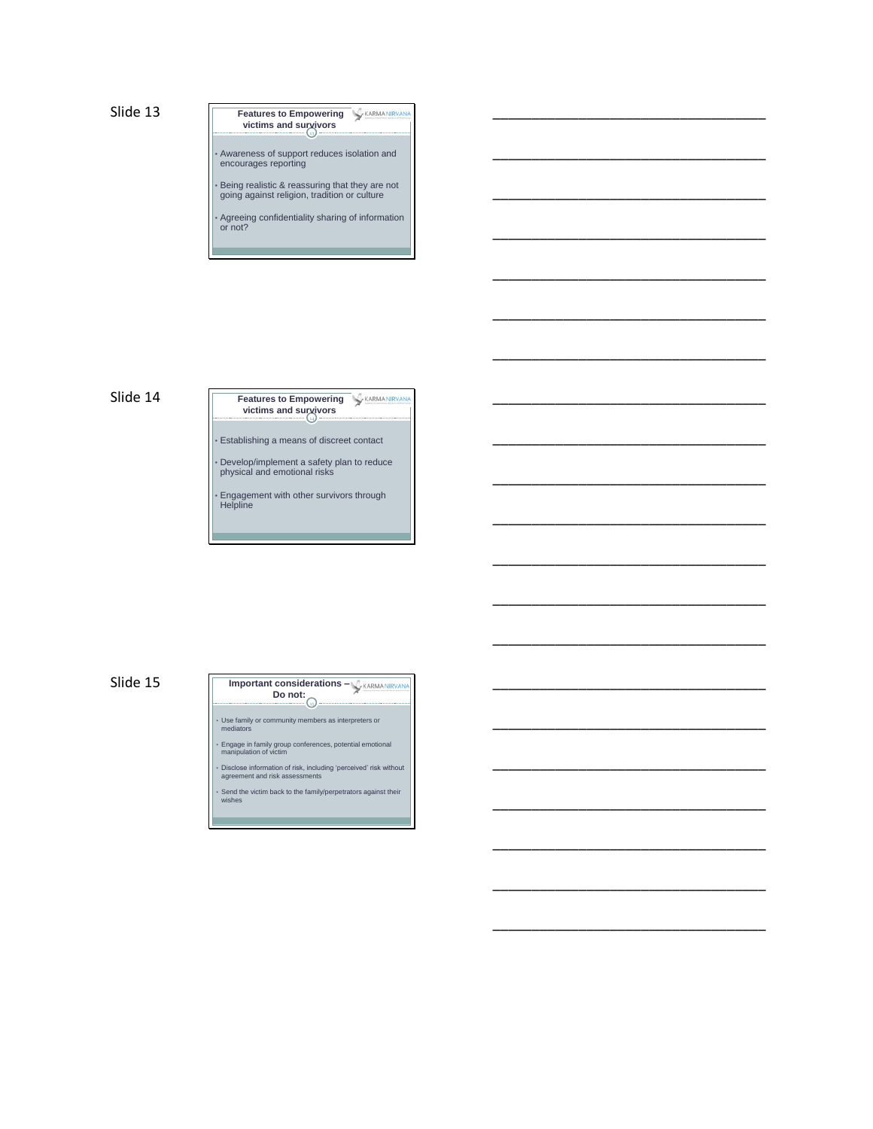**victims and survivors Features to Empowering WARMANIR** 

• Awareness of support reduces isolation and encourages reporting

\_\_\_\_\_\_\_\_\_\_\_\_\_\_\_\_\_\_\_\_\_\_\_\_\_\_\_\_\_\_\_\_\_\_\_

\_\_\_\_\_\_\_\_\_\_\_\_\_\_\_\_\_\_\_\_\_\_\_\_\_\_\_\_\_\_\_\_\_\_\_

\_\_\_\_\_\_\_\_\_\_\_\_\_\_\_\_\_\_\_\_\_\_\_\_\_\_\_\_\_\_\_\_\_\_\_

\_\_\_\_\_\_\_\_\_\_\_\_\_\_\_\_\_\_\_\_\_\_\_\_\_\_\_\_\_\_\_\_\_\_\_

\_\_\_\_\_\_\_\_\_\_\_\_\_\_\_\_\_\_\_\_\_\_\_\_\_\_\_\_\_\_\_\_\_\_\_

\_\_\_\_\_\_\_\_\_\_\_\_\_\_\_\_\_\_\_\_\_\_\_\_\_\_\_\_\_\_\_\_\_\_\_

\_\_\_\_\_\_\_\_\_\_\_\_\_\_\_\_\_\_\_\_\_\_\_\_\_\_\_\_\_\_\_\_\_\_\_

\_\_\_\_\_\_\_\_\_\_\_\_\_\_\_\_\_\_\_\_\_\_\_\_\_\_\_\_\_\_\_\_\_\_\_

\_\_\_\_\_\_\_\_\_\_\_\_\_\_\_\_\_\_\_\_\_\_\_\_\_\_\_\_\_\_\_\_\_\_\_

\_\_\_\_\_\_\_\_\_\_\_\_\_\_\_\_\_\_\_\_\_\_\_\_\_\_\_\_\_\_\_\_\_\_\_

\_\_\_\_\_\_\_\_\_\_\_\_\_\_\_\_\_\_\_\_\_\_\_\_\_\_\_\_\_\_\_\_\_\_\_

\_\_\_\_\_\_\_\_\_\_\_\_\_\_\_\_\_\_\_\_\_\_\_\_\_\_\_\_\_\_\_\_\_\_\_

\_\_\_\_\_\_\_\_\_\_\_\_\_\_\_\_\_\_\_\_\_\_\_\_\_\_\_\_\_\_\_\_\_\_\_

\_\_\_\_\_\_\_\_\_\_\_\_\_\_\_\_\_\_\_\_\_\_\_\_\_\_\_\_\_\_\_\_\_\_\_

\_\_\_\_\_\_\_\_\_\_\_\_\_\_\_\_\_\_\_\_\_\_\_\_\_\_\_\_\_\_\_\_\_\_\_

\_\_\_\_\_\_\_\_\_\_\_\_\_\_\_\_\_\_\_\_\_\_\_\_\_\_\_\_\_\_\_\_\_\_\_

\_\_\_\_\_\_\_\_\_\_\_\_\_\_\_\_\_\_\_\_\_\_\_\_\_\_\_\_\_\_\_\_\_\_\_

\_\_\_\_\_\_\_\_\_\_\_\_\_\_\_\_\_\_\_\_\_\_\_\_\_\_\_\_\_\_\_\_\_\_\_

\_\_\_\_\_\_\_\_\_\_\_\_\_\_\_\_\_\_\_\_\_\_\_\_\_\_\_\_\_\_\_\_\_\_\_

\_\_\_\_\_\_\_\_\_\_\_\_\_\_\_\_\_\_\_\_\_\_\_\_\_\_\_\_\_\_\_\_\_\_\_

\_\_\_\_\_\_\_\_\_\_\_\_\_\_\_\_\_\_\_\_\_\_\_\_\_\_\_\_\_\_\_\_\_\_\_

• Being realistic & reassuring that they are not going against religion, tradition or culture

• Agreeing confidentiality sharing of information or not?

<u> Tanzania da Maria da Maria da Maria da Maria da Maria da Maria da Maria da Maria da Maria da Maria da Maria d</u>

#### Slide 14

14 **victims and survivors Features to Empowering WARMANIRY** 

• Establishing a means of discreet contact

• Develop/implement a safety plan to reduce physical and emotional risks

• Engagement with other survivors through Helpline

#### Slide 15

# 15 **Do not: Important considerations –**

• Use family or community members as interpreters or mediators

• Engage in family group conferences, potential emotional manipulation of victim

• Disclose information of risk, including 'perceived' risk without agreement and risk assessments

• Send the victim back to the family/perpetrators against their wishes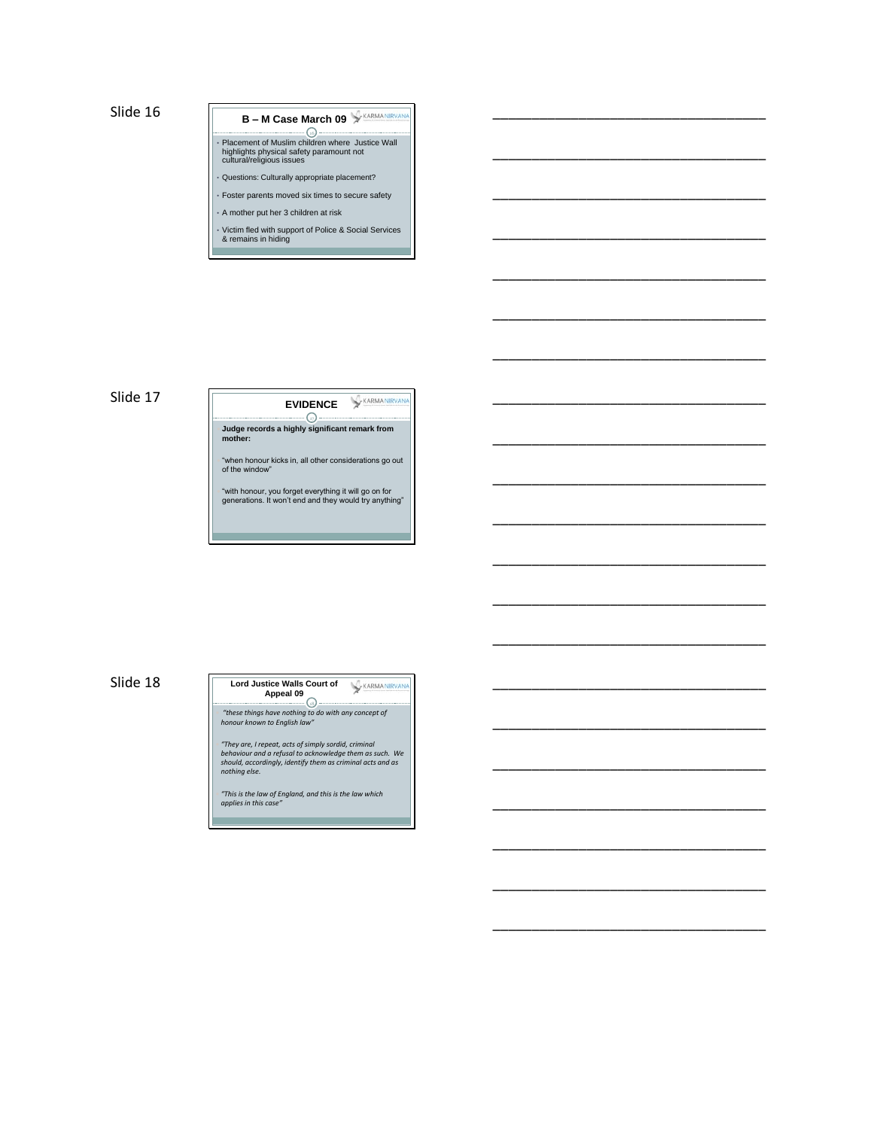# <u>-</u> Q **B – M Case March 09** • Placement of Muslim children where Justice Wall highlights physical safety paramount not cultural/religious issues

\_\_\_\_\_\_\_\_\_\_\_\_\_\_\_\_\_\_\_\_\_\_\_\_\_\_\_\_\_\_\_\_\_\_\_

\_\_\_\_\_\_\_\_\_\_\_\_\_\_\_\_\_\_\_\_\_\_\_\_\_\_\_\_\_\_\_\_\_\_\_

\_\_\_\_\_\_\_\_\_\_\_\_\_\_\_\_\_\_\_\_\_\_\_\_\_\_\_\_\_\_\_\_\_\_\_

\_\_\_\_\_\_\_\_\_\_\_\_\_\_\_\_\_\_\_\_\_\_\_\_\_\_\_\_\_\_\_\_\_\_\_

\_\_\_\_\_\_\_\_\_\_\_\_\_\_\_\_\_\_\_\_\_\_\_\_\_\_\_\_\_\_\_\_\_\_\_

\_\_\_\_\_\_\_\_\_\_\_\_\_\_\_\_\_\_\_\_\_\_\_\_\_\_\_\_\_\_\_\_\_\_\_

\_\_\_\_\_\_\_\_\_\_\_\_\_\_\_\_\_\_\_\_\_\_\_\_\_\_\_\_\_\_\_\_\_\_\_

\_\_\_\_\_\_\_\_\_\_\_\_\_\_\_\_\_\_\_\_\_\_\_\_\_\_\_\_\_\_\_\_\_\_\_

\_\_\_\_\_\_\_\_\_\_\_\_\_\_\_\_\_\_\_\_\_\_\_\_\_\_\_\_\_\_\_\_\_\_\_

\_\_\_\_\_\_\_\_\_\_\_\_\_\_\_\_\_\_\_\_\_\_\_\_\_\_\_\_\_\_\_\_\_\_\_

\_\_\_\_\_\_\_\_\_\_\_\_\_\_\_\_\_\_\_\_\_\_\_\_\_\_\_\_\_\_\_\_\_\_\_

\_\_\_\_\_\_\_\_\_\_\_\_\_\_\_\_\_\_\_\_\_\_\_\_\_\_\_\_\_\_\_\_\_\_\_

\_\_\_\_\_\_\_\_\_\_\_\_\_\_\_\_\_\_\_\_\_\_\_\_\_\_\_\_\_\_\_\_\_\_\_

\_\_\_\_\_\_\_\_\_\_\_\_\_\_\_\_\_\_\_\_\_\_\_\_\_\_\_\_\_\_\_\_\_\_\_

\_\_\_\_\_\_\_\_\_\_\_\_\_\_\_\_\_\_\_\_\_\_\_\_\_\_\_\_\_\_\_\_\_\_\_

\_\_\_\_\_\_\_\_\_\_\_\_\_\_\_\_\_\_\_\_\_\_\_\_\_\_\_\_\_\_\_\_\_\_\_

\_\_\_\_\_\_\_\_\_\_\_\_\_\_\_\_\_\_\_\_\_\_\_\_\_\_\_\_\_\_\_\_\_\_\_

\_\_\_\_\_\_\_\_\_\_\_\_\_\_\_\_\_\_\_\_\_\_\_\_\_\_\_\_\_\_\_\_\_\_\_

\_\_\_\_\_\_\_\_\_\_\_\_\_\_\_\_\_\_\_\_\_\_\_\_\_\_\_\_\_\_\_\_\_\_\_

\_\_\_\_\_\_\_\_\_\_\_\_\_\_\_\_\_\_\_\_\_\_\_\_\_\_\_\_\_\_\_\_\_\_\_

\_\_\_\_\_\_\_\_\_\_\_\_\_\_\_\_\_\_\_\_\_\_\_\_\_\_\_\_\_\_\_\_\_\_\_

• Questions: Culturally appropriate placement?

Foster parents moved six times to secure safety

• A mother put her 3 children at risk

• Victim fled with support of Police & Social Services & remains in hiding \_\_\_

\_\_\_\_\_

#### Slide 17

KARMANIR **EVIDENCE**

17 **Judge records a highly significant remark from mother:**

 "when honour kicks in, all other considerations go out of the window"

"with honour, you forget everything it will go on for generations. It won't end and they would try anything"

<u> 1989 - Johann Barbara, martxa amerikan personal (h. 1989).</u>

Slide 18

#### KARMANIRVAN 18 **Lord Justice Walls Court of Appeal 09**

*"these things have nothing to do with any concept of honour known to English law"*

*"They are, I repeat, acts of simply sordid, criminal behaviour and a refusal to acknowledge them as such. We should, accordingly, identify them as criminal acts and as nothing else.* 

 *"This is the law of England, and this is the law which applies in this case"*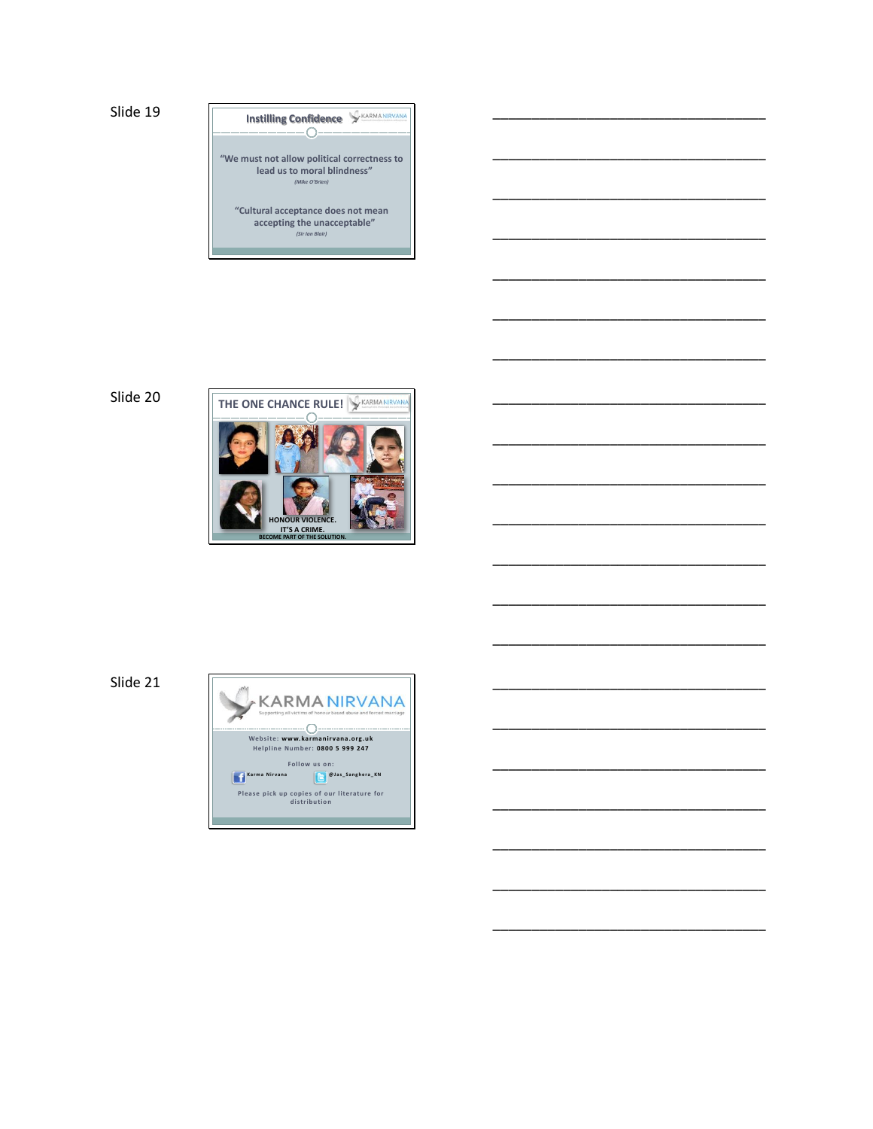**Instilling Confidence** SEARMANIRVANA

**"We must not allow political correctness to lead us to moral blindness"** *(Mike O'Brien)*

\_\_\_\_\_\_\_\_\_\_\_\_\_\_\_\_\_\_\_\_\_\_\_\_\_\_\_\_\_\_\_\_\_\_\_

\_\_\_\_\_\_\_\_\_\_\_\_\_\_\_\_\_\_\_\_\_\_\_\_\_\_\_\_\_\_\_\_\_\_\_

\_\_\_\_\_\_\_\_\_\_\_\_\_\_\_\_\_\_\_\_\_\_\_\_\_\_\_\_\_\_\_\_\_\_\_

\_\_\_\_\_\_\_\_\_\_\_\_\_\_\_\_\_\_\_\_\_\_\_\_\_\_\_\_\_\_\_\_\_\_\_

\_\_\_\_\_\_\_\_\_\_\_\_\_\_\_\_\_\_\_\_\_\_\_\_\_\_\_\_\_\_\_\_\_\_\_

\_\_\_\_\_\_\_\_\_\_\_\_\_\_\_\_\_\_\_\_\_\_\_\_\_\_\_\_\_\_\_\_\_\_\_

\_\_\_\_\_\_\_\_\_\_\_\_\_\_\_\_\_\_\_\_\_\_\_\_\_\_\_\_\_\_\_\_\_\_\_

\_\_\_\_\_\_\_\_\_\_\_\_\_\_\_\_\_\_\_\_\_\_\_\_\_\_\_\_\_\_\_\_\_\_\_

\_\_\_\_\_\_\_\_\_\_\_\_\_\_\_\_\_\_\_\_\_\_\_\_\_\_\_\_\_\_\_\_\_\_\_

\_\_\_\_\_\_\_\_\_\_\_\_\_\_\_\_\_\_\_\_\_\_\_\_\_\_\_\_\_\_\_\_\_\_\_

\_\_\_\_\_\_\_\_\_\_\_\_\_\_\_\_\_\_\_\_\_\_\_\_\_\_\_\_\_\_\_\_\_\_\_

\_\_\_\_\_\_\_\_\_\_\_\_\_\_\_\_\_\_\_\_\_\_\_\_\_\_\_\_\_\_\_\_\_\_\_

\_\_\_\_\_\_\_\_\_\_\_\_\_\_\_\_\_\_\_\_\_\_\_\_\_\_\_\_\_\_\_\_\_\_\_

\_\_\_\_\_\_\_\_\_\_\_\_\_\_\_\_\_\_\_\_\_\_\_\_\_\_\_\_\_\_\_\_\_\_\_

\_\_\_\_\_\_\_\_\_\_\_\_\_\_\_\_\_\_\_\_\_\_\_\_\_\_\_\_\_\_\_\_\_\_\_

\_\_\_\_\_\_\_\_\_\_\_\_\_\_\_\_\_\_\_\_\_\_\_\_\_\_\_\_\_\_\_\_\_\_\_

\_\_\_\_\_\_\_\_\_\_\_\_\_\_\_\_\_\_\_\_\_\_\_\_\_\_\_\_\_\_\_\_\_\_\_

\_\_\_\_\_\_\_\_\_\_\_\_\_\_\_\_\_\_\_\_\_\_\_\_\_\_\_\_\_\_\_\_\_\_\_

\_\_\_\_\_\_\_\_\_\_\_\_\_\_\_\_\_\_\_\_\_\_\_\_\_\_\_\_\_\_\_\_\_\_\_

\_\_\_\_\_\_\_\_\_\_\_\_\_\_\_\_\_\_\_\_\_\_\_\_\_\_\_\_\_\_\_\_\_\_\_

\_\_\_\_\_\_\_\_\_\_\_\_\_\_\_\_\_\_\_\_\_\_\_\_\_\_\_\_\_\_\_\_\_\_\_

**"Cultural acceptance does not mean accepting the unacceptable"** *(Sir Ian Blair)*

\_\_\_\_\_\_\_\_\_\_



Slide 21